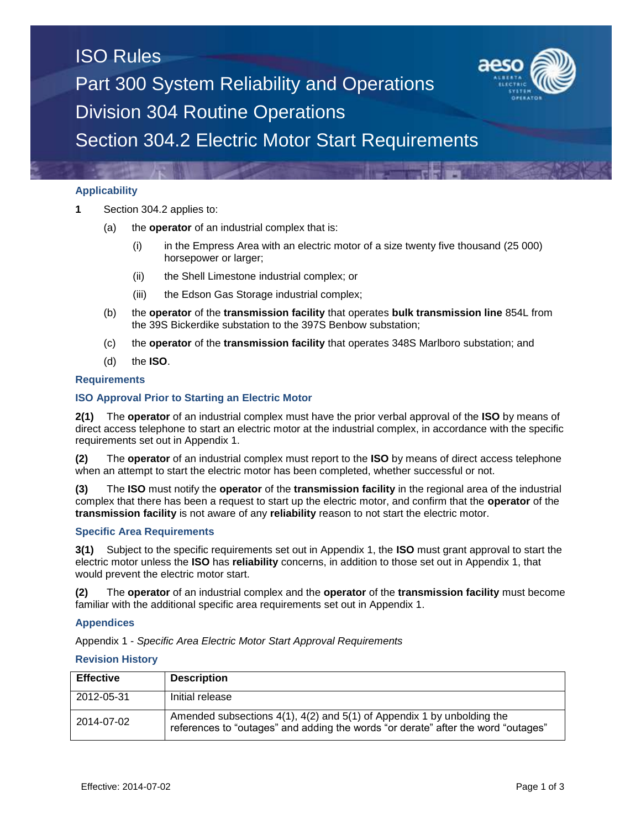# ISO Rules Part 300 System Reliability and Operations Division 304 Routine Operations Section 304.2 Electric Motor Start Requirements

# **Applicability**

- **1** Section 304.2 applies to:
	- (a) the **operator** of an industrial complex that is:
		- (i) in the Empress Area with an electric motor of a size twenty five thousand (25 000) horsepower or larger;
		- (ii) the Shell Limestone industrial complex; or
		- (iii) the Edson Gas Storage industrial complex;
	- (b) the **operator** of the **transmission facility** that operates **bulk transmission line** 854L from the 39S Bickerdike substation to the 397S Benbow substation;
	- (c) the **operator** of the **transmission facility** that operates 348S Marlboro substation; and
	- (d) the **ISO**.

### **Requirements**

### **ISO Approval Prior to Starting an Electric Motor**

**2(1)** The **operator** of an industrial complex must have the prior verbal approval of the **ISO** by means of direct access telephone to start an electric motor at the industrial complex, in accordance with the specific requirements set out in Appendix 1.

**(2)** The **operator** of an industrial complex must report to the **ISO** by means of direct access telephone when an attempt to start the electric motor has been completed, whether successful or not.

**(3)** The **ISO** must notify the **operator** of the **transmission facility** in the regional area of the industrial complex that there has been a request to start up the electric motor, and confirm that the **operator** of the **transmission facility** is not aware of any **reliability** reason to not start the electric motor.

## **Specific Area Requirements**

**3(1)** Subject to the specific requirements set out in Appendix 1, the **ISO** must grant approval to start the electric motor unless the **ISO** has **reliability** concerns, in addition to those set out in Appendix 1, that would prevent the electric motor start.

**(2)** The **operator** of an industrial complex and the **operator** of the **transmission facility** must become familiar with the additional specific area requirements set out in Appendix 1.

#### **Appendices**

Appendix 1 - *Specific Area Electric Motor Start Approval Requirements*

#### **Revision History**

| <b>Effective</b> | <b>Description</b>                                                                                                                                          |
|------------------|-------------------------------------------------------------------------------------------------------------------------------------------------------------|
| 2012-05-31       | Initial release                                                                                                                                             |
| 2014-07-02       | Amended subsections 4(1), 4(2) and 5(1) of Appendix 1 by unbolding the<br>references to "outages" and adding the words "or derate" after the word "outages" |

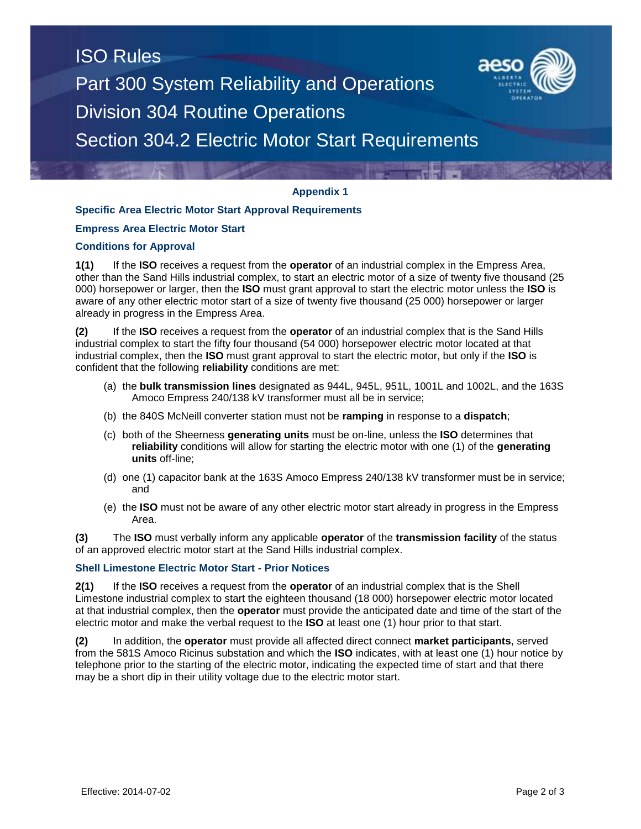# ISO Rules Part 300 System Reliability and Operations Division 304 Routine Operations Section 304.2 Electric Motor Start Requirements



# **Specific Area Electric Motor Start Approval Requirements**

## **Empress Area Electric Motor Start**

# **Conditions for Approval**

**1(1)** If the **ISO** receives a request from the **operator** of an industrial complex in the Empress Area, other than the Sand Hills industrial complex, to start an electric motor of a size of twenty five thousand (25 000) horsepower or larger, then the **ISO** must grant approval to start the electric motor unless the **ISO** is aware of any other electric motor start of a size of twenty five thousand (25 000) horsepower or larger already in progress in the Empress Area.

**(2)** If the **ISO** receives a request from the **operator** of an industrial complex that is the Sand Hills industrial complex to start the fifty four thousand (54 000) horsepower electric motor located at that industrial complex, then the **ISO** must grant approval to start the electric motor, but only if the **ISO** is confident that the following **reliability** conditions are met:

- (a) the **bulk transmission lines** designated as 944L, 945L, 951L, 1001L and 1002L, and the 163S Amoco Empress 240/138 kV transformer must all be in service;
- (b) the 840S McNeill converter station must not be **ramping** in response to a **dispatch**;
- (c) both of the Sheerness **generating units** must be on-line, unless the **ISO** determines that **reliability** conditions will allow for starting the electric motor with one (1) of the **generating units** off-line;
- (d) one (1) capacitor bank at the 163S Amoco Empress 240/138 kV transformer must be in service; and
- (e) the **ISO** must not be aware of any other electric motor start already in progress in the Empress Area.

**(3)** The **ISO** must verbally inform any applicable **operator** of the **transmission facility** of the status of an approved electric motor start at the Sand Hills industrial complex.

## **Shell Limestone Electric Motor Start** *-* **Prior Notices**

**2(1)** If the **ISO** receives a request from the **operator** of an industrial complex that is the Shell Limestone industrial complex to start the eighteen thousand (18 000) horsepower electric motor located at that industrial complex, then the **operator** must provide the anticipated date and time of the start of the electric motor and make the verbal request to the **ISO** at least one (1) hour prior to that start.

**(2)** In addition, the **operator** must provide all affected direct connect **market participants**, served from the 581S Amoco Ricinus substation and which the **ISO** indicates, with at least one (1) hour notice by telephone prior to the starting of the electric motor, indicating the expected time of start and that there may be a short dip in their utility voltage due to the electric motor start.